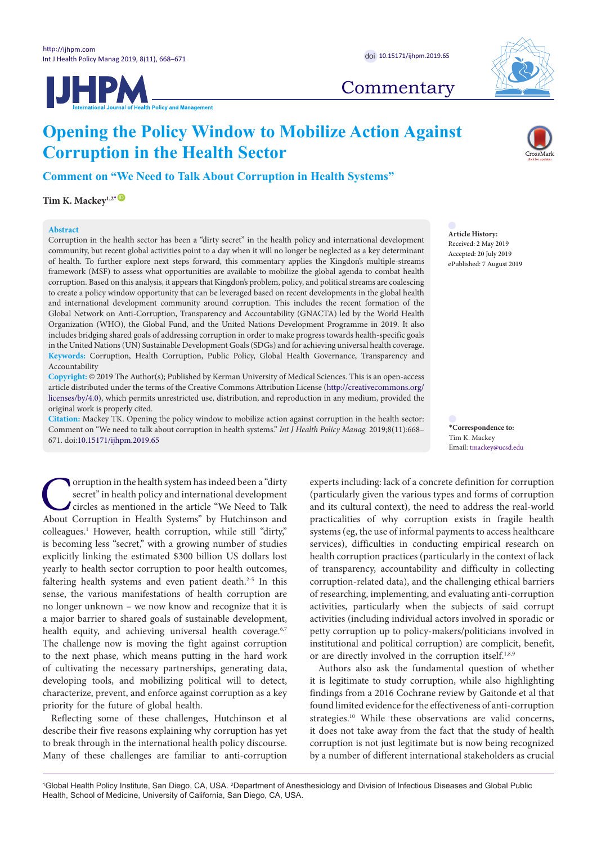



## **Commentary**

# **Opening the Policy Window to Mobilize Action Against Corruption in the Health Sector**

**Comment on "We Need to Talk About Corruption in Health Systems"**

 $\operatorname{Tim}$  K. Mackey<sup>1,2[\\*](#page-0-0)</sup>  $^{\textcircled{\tiny{\textsf{ID}}}}$  $^{\textcircled{\tiny{\textsf{ID}}}}$  $^{\textcircled{\tiny{\textsf{ID}}}}$ 

## **Abstract**

Corruption in the health sector has been a "dirty secret" in the health policy and international development community, but recent global activities point to a day when it will no longer be neglected as a key determinant of health. To further explore next steps forward, this commentary applies the Kingdon's multiple-streams framework (MSF) to assess what opportunities are available to mobilize the global agenda to combat health corruption. Based on this analysis, it appears that Kingdon's problem, policy, and political streams are coalescing to create a policy window opportunity that can be leveraged based on recent developments in the global health and international development community around corruption. This includes the recent formation of the Global Network on Anti-Corruption, Transparency and Accountability (GNACTA) led by the World Health Organization (WHO), the Global Fund, and the United Nations Development Programme in 2019. It also includes bridging shared goals of addressing corruption in order to make progress towards health-specific goals in the United Nations (UN) Sustainable Development Goals (SDGs) and for achieving universal health coverage. **Keywords:** Corruption, Health Corruption, Public Policy, Global Health Governance, Transparency and Accountability

**Copyright:** © 2019 The Author(s); Published by Kerman University of Medical Sciences. This is an open-access article distributed under the terms of the Creative Commons Attribution License ([http://creativecommons.org/](http://creativecommons.org/licenses/by/4.0) [licenses/by/4.0](http://creativecommons.org/licenses/by/4.0)), which permits unrestricted use, distribution, and reproduction in any medium, provided the original work is properly cited.

**Citation:** Mackey TK. Opening the policy window to mobilize action against corruption in the health sector: Comment on "We need to talk about corruption in health systems." *Int J Health Policy Manag.* 2019;8(11):668– 671. doi[:10.15171/ijhpm.2019.65](https://doi.org/10.15171/ijhpm.2019.65)

**Corruption in the health system has indeed been a "dirty secret" in health policy and international development circles as mentioned in the article "We Need to Talk About Corruption in Health Systems" by Hutchinson and** secret" in health policy and international development circles as mentioned in the article "We Need to Talk About Corruption in Health Systems" by Hutchinson and colleagues.1 However, health corruption, while still "dirty," is becoming less "secret," with a growing number of studies explicitly linking the estimated \$300 billion US dollars lost yearly to health sector corruption to poor health outcomes, faltering health systems and even patient death.<sup>2-5</sup> In this sense, the various manifestations of health corruption are no longer unknown – we now know and recognize that it is a major barrier to shared goals of sustainable development, health equity, and achieving universal health coverage.<sup>6,7</sup> The challenge now is moving the fight against corruption to the next phase, which means putting in the hard work of cultivating the necessary partnerships, generating data, developing tools, and mobilizing political will to detect, characterize, prevent, and enforce against corruption as a key priority for the future of global health.

Reflecting some of these challenges, Hutchinson et al describe their five reasons explaining why corruption has yet to break through in the international health policy discourse. Many of these challenges are familiar to anti-corruption

**Article History:** Received: 2 May 2019 Accepted: 20 July 2019 ePublished: 7 August 2019

<span id="page-0-0"></span>**\*Correspondence to:** Tim K. Mackey Email: tmackey@ucsd.edu

experts including: lack of a concrete definition for corruption (particularly given the various types and forms of corruption and its cultural context), the need to address the real-world practicalities of why corruption exists in fragile health systems (eg, the use of informal payments to access healthcare services), difficulties in conducting empirical research on health corruption practices (particularly in the context of lack of transparency, accountability and difficulty in collecting corruption-related data), and the challenging ethical barriers of researching, implementing, and evaluating anti-corruption activities, particularly when the subjects of said corrupt activities (including individual actors involved in sporadic or petty corruption up to policy-makers/politicians involved in institutional and political corruption) are complicit, benefit, or are directly involved in the corruption itself.<sup>1,8,9</sup>

Authors also ask the fundamental question of whether it is legitimate to study corruption, while also highlighting findings from a 2016 Cochrane review by Gaitonde et al that found limited evidence for the effectiveness of anti-corruption strategies.<sup>10</sup> While these observations are valid concerns, it does not take away from the fact that the study of health corruption is not just legitimate but is now being recognized by a number of different international stakeholders as crucial

1 Global Health Policy Institute, San Diego, CA, USA. 2 Department of Anesthesiology and Division of Infectious Diseases and Global Public Health, School of Medicine, University of California, San Diego, CA, USA.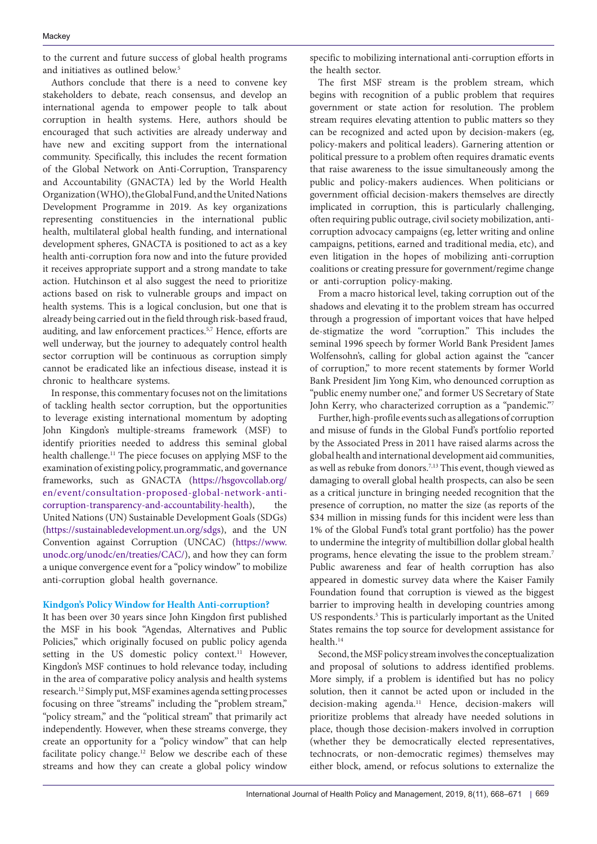to the current and future success of global health programs and initiatives as outlined below.<sup>5</sup>

Authors conclude that there is a need to convene key stakeholders to debate, reach consensus, and develop an international agenda to empower people to talk about corruption in health systems. Here, authors should be encouraged that such activities are already underway and have new and exciting support from the international community. Specifically, this includes the recent formation of the Global Network on Anti-Corruption, Transparency and Accountability (GNACTA) led by the World Health Organization (WHO), the Global Fund, and the United Nations Development Programme in 2019. As key organizations representing constituencies in the international public health, multilateral global health funding, and international development spheres, GNACTA is positioned to act as a key health anti-corruption fora now and into the future provided it receives appropriate support and a strong mandate to take action. Hutchinson et al also suggest the need to prioritize actions based on risk to vulnerable groups and impact on health systems. This is a logical conclusion, but one that is already being carried out in the field through risk-based fraud, auditing, and law enforcement practices.5,7 Hence, efforts are well underway, but the journey to adequately control health sector corruption will be continuous as corruption simply cannot be eradicated like an infectious disease, instead it is chronic to healthcare systems.

In response, this commentary focuses not on the limitations of tackling health sector corruption, but the opportunities to leverage existing international momentum by adopting John Kingdon's multiple-streams framework (MSF) to identify priorities needed to address this seminal global health challenge.<sup>11</sup> The piece focuses on applying MSF to the examination of existing policy, programmatic, and governance frameworks, such as GNACTA [\(https://hsgovcollab.org/](https://hsgovcollab.org/en/event/consultation-proposed-global-network-anti-corruption-transparency-and-accountability-health) [en/event/consultation-proposed-global-network-anti](https://hsgovcollab.org/en/event/consultation-proposed-global-network-anti-corruption-transparency-and-accountability-health)[corruption-transparency-and-accountability-health](https://hsgovcollab.org/en/event/consultation-proposed-global-network-anti-corruption-transparency-and-accountability-health)), the United Nations (UN) Sustainable Development Goals (SDGs) (<https://sustainabledevelopment.un.org/sdgs>), and the UN Convention against Corruption (UNCAC) [\(https://www.](https://www.unodc.org/unodc/en/treaties/CAC/) [unodc.org/unodc/en/treaties/CAC/](https://www.unodc.org/unodc/en/treaties/CAC/)), and how they can form a unique convergence event for a "policy window" to mobilize anti-corruption global health governance.

## **Kindgon's Policy Window for Health Anti-corruption?**

It has been over 30 years since John Kingdon first published the MSF in his book "Agendas, Alternatives and Public Policies," which originally focused on public policy agenda setting in the US domestic policy context.<sup>11</sup> However, Kingdon's MSF continues to hold relevance today, including in the area of comparative policy analysis and health systems research.12 Simply put, MSF examines agenda setting processes focusing on three "streams" including the "problem stream," "policy stream," and the "political stream" that primarily act independently. However, when these streams converge, they create an opportunity for a "policy window" that can help facilitate policy change.12 Below we describe each of these streams and how they can create a global policy window

specific to mobilizing international anti-corruption efforts in the health sector.

The first MSF stream is the problem stream, which begins with recognition of a public problem that requires government or state action for resolution. The problem stream requires elevating attention to public matters so they can be recognized and acted upon by decision-makers (eg, policy-makers and political leaders). Garnering attention or political pressure to a problem often requires dramatic events that raise awareness to the issue simultaneously among the public and policy-makers audiences. When politicians or government official decision-makers themselves are directly implicated in corruption, this is particularly challenging, often requiring public outrage, civil society mobilization, anticorruption advocacy campaigns (eg, letter writing and online campaigns, petitions, earned and traditional media, etc), and even litigation in the hopes of mobilizing anti-corruption coalitions or creating pressure for government/regime change or anti-corruption policy-making.

From a macro historical level, taking corruption out of the shadows and elevating it to the problem stream has occurred through a progression of important voices that have helped de-stigmatize the word "corruption." This includes the seminal 1996 speech by former World Bank President James Wolfensohn's, calling for global action against the "cancer of corruption," to more recent statements by former World Bank President Jim Yong Kim, who denounced corruption as "public enemy number one," and former US Secretary of State John Kerry, who characterized corruption as a "pandemic."7

Further, high-profile events such as allegations of corruption and misuse of funds in the Global Fund's portfolio reported by the Associated Press in 2011 have raised alarms across the global health and international development aid communities, as well as rebuke from donors.<sup>7,13</sup> This event, though viewed as damaging to overall global health prospects, can also be seen as a critical juncture in bringing needed recognition that the presence of corruption, no matter the size (as reports of the \$34 million in missing funds for this incident were less than 1% of the Global Fund's total grant portfolio) has the power to undermine the integrity of multibillion dollar global health programs, hence elevating the issue to the problem stream.7 Public awareness and fear of health corruption has also appeared in domestic survey data where the Kaiser Family Foundation found that corruption is viewed as the biggest barrier to improving health in developing countries among US respondents.<sup>5</sup> This is particularly important as the United States remains the top source for development assistance for health.<sup>14</sup>

Second, the MSF policy stream involves the conceptualization and proposal of solutions to address identified problems. More simply, if a problem is identified but has no policy solution, then it cannot be acted upon or included in the decision-making agenda.<sup>11</sup> Hence, decision-makers will prioritize problems that already have needed solutions in place, though those decision-makers involved in corruption (whether they be democratically elected representatives, technocrats, or non-democratic regimes) themselves may either block, amend, or refocus solutions to externalize the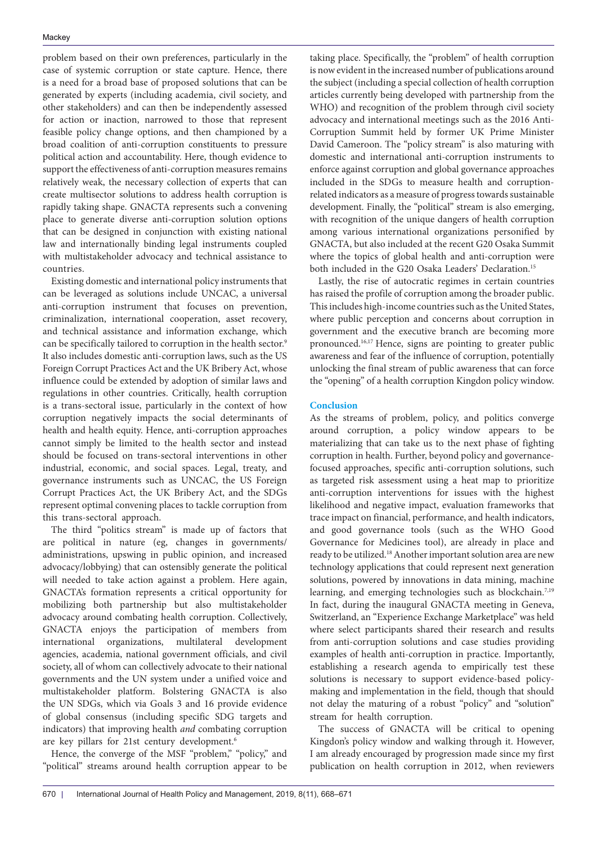problem based on their own preferences, particularly in the case of systemic corruption or state capture. Hence, there is a need for a broad base of proposed solutions that can be generated by experts (including academia, civil society, and other stakeholders) and can then be independently assessed for action or inaction, narrowed to those that represent feasible policy change options, and then championed by a broad coalition of anti-corruption constituents to pressure political action and accountability. Here, though evidence to support the effectiveness of anti-corruption measures remains relatively weak, the necessary collection of experts that can create multisector solutions to address health corruption is rapidly taking shape. GNACTA represents such a convening place to generate diverse anti-corruption solution options that can be designed in conjunction with existing national law and internationally binding legal instruments coupled with multistakeholder advocacy and technical assistance to countries.

Existing domestic and international policy instruments that can be leveraged as solutions include UNCAC, a universal anti-corruption instrument that focuses on prevention, criminalization, international cooperation, asset recovery, and technical assistance and information exchange, which can be specifically tailored to corruption in the health sector.<sup>9</sup> It also includes domestic anti-corruption laws, such as the US Foreign Corrupt Practices Act and the UK Bribery Act, whose influence could be extended by adoption of similar laws and regulations in other countries. Critically, health corruption is a trans-sectoral issue, particularly in the context of how corruption negatively impacts the social determinants of health and health equity. Hence, anti-corruption approaches cannot simply be limited to the health sector and instead should be focused on trans-sectoral interventions in other industrial, economic, and social spaces. Legal, treaty, and governance instruments such as UNCAC, the US Foreign Corrupt Practices Act, the UK Bribery Act, and the SDGs represent optimal convening places to tackle corruption from this trans-sectoral approach.

The third "politics stream" is made up of factors that are political in nature (eg, changes in governments/ administrations, upswing in public opinion, and increased advocacy/lobbying) that can ostensibly generate the political will needed to take action against a problem. Here again, GNACTA's formation represents a critical opportunity for mobilizing both partnership but also multistakeholder advocacy around combating health corruption. Collectively, GNACTA enjoys the participation of members from international organizations, multilateral development agencies, academia, national government officials, and civil society, all of whom can collectively advocate to their national governments and the UN system under a unified voice and multistakeholder platform. Bolstering GNACTA is also the UN SDGs, which via Goals 3 and 16 provide evidence of global consensus (including specific SDG targets and indicators) that improving health *and* combating corruption are key pillars for 21st century development.<sup>6</sup>

Hence, the converge of the MSF "problem," "policy," and "political" streams around health corruption appear to be taking place. Specifically, the "problem" of health corruption is now evident in the increased number of publications around the subject (including a special collection of health corruption articles currently being developed with partnership from the WHO) and recognition of the problem through civil society advocacy and international meetings such as the 2016 Anti-Corruption Summit held by former UK Prime Minister David Cameroon. The "policy stream" is also maturing with domestic and international anti-corruption instruments to enforce against corruption and global governance approaches included in the SDGs to measure health and corruptionrelated indicators as a measure of progress towards sustainable development. Finally, the "political" stream is also emerging, with recognition of the unique dangers of health corruption among various international organizations personified by GNACTA, but also included at the recent G20 Osaka Summit where the topics of global health and anti-corruption were both included in the G20 Osaka Leaders' Declaration.<sup>15</sup>

Lastly, the rise of autocratic regimes in certain countries has raised the profile of corruption among the broader public. This includes high-income countries such as the United States, where public perception and concerns about corruption in government and the executive branch are becoming more pronounced.16,17 Hence, signs are pointing to greater public awareness and fear of the influence of corruption, potentially unlocking the final stream of public awareness that can force the "opening" of a health corruption Kingdon policy window.

## **Conclusion**

As the streams of problem, policy, and politics converge around corruption, a policy window appears to be materializing that can take us to the next phase of fighting corruption in health. Further, beyond policy and governancefocused approaches, specific anti-corruption solutions, such as targeted risk assessment using a heat map to prioritize anti-corruption interventions for issues with the highest likelihood and negative impact, evaluation frameworks that trace impact on financial, performance, and health indicators, and good governance tools (such as the WHO Good Governance for Medicines tool), are already in place and ready to be utilized.<sup>18</sup> Another important solution area are new technology applications that could represent next generation solutions, powered by innovations in data mining, machine learning, and emerging technologies such as blockchain.<sup>7,19</sup> In fact, during the inaugural GNACTA meeting in Geneva, Switzerland, an "Experience Exchange Marketplace" was held where select participants shared their research and results from anti-corruption solutions and case studies providing examples of health anti-corruption in practice. Importantly, establishing a research agenda to empirically test these solutions is necessary to support evidence-based policymaking and implementation in the field, though that should not delay the maturing of a robust "policy" and "solution" stream for health corruption.

The success of GNACTA will be critical to opening Kingdon's policy window and walking through it. However, I am already encouraged by progression made since my first publication on health corruption in 2012, when reviewers